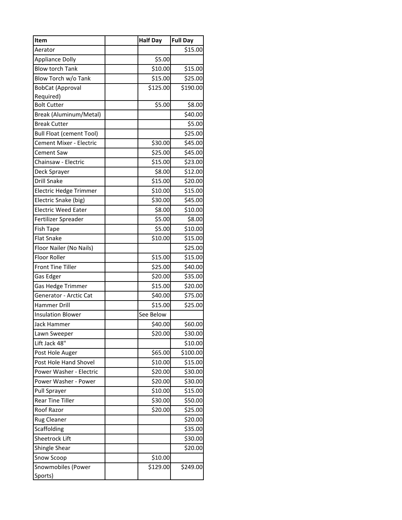| Item                            | <b>Half Day</b> | <b>Full Day</b> |
|---------------------------------|-----------------|-----------------|
| Aerator                         |                 | \$15.00         |
| <b>Appliance Dolly</b>          | \$5.00          |                 |
| <b>Blow torch Tank</b>          | \$10.00         | \$15.00         |
| Blow Torch w/o Tank             | \$15.00         | \$25.00         |
| <b>BobCat (Approval</b>         | \$125.00        | \$190.00        |
| Required)                       |                 |                 |
| <b>Bolt Cutter</b>              | \$5.00          | \$8.00          |
| Break (Aluminum/Metal)          |                 | \$40.00         |
| <b>Break Cutter</b>             |                 | \$5.00          |
| <b>Bull Float (cement Tool)</b> |                 | \$25.00         |
| Cement Mixer - Electric         | \$30.00         | \$45.00         |
| Cement Saw                      | \$25.00         | \$45.00         |
| Chainsaw - Electric             | \$15.00         | \$23.00         |
| Deck Sprayer                    | \$8.00          | \$12.00         |
| <b>Drill Snake</b>              | \$15.00         | \$20.00         |
| Electric Hedge Trimmer          | \$10.00         | \$15.00         |
| Electric Snake (big)            | \$30.00         | \$45.00         |
| <b>Electric Weed Eater</b>      | \$8.00          | \$10.00         |
| Fertilizer Spreader             | \$5.00          | \$8.00          |
| <b>Fish Tape</b>                | \$5.00          | \$10.00         |
| <b>Flat Snake</b>               | \$10.00         | \$15.00         |
| Floor Nailer (No Nails)         |                 | \$25.00         |
| Floor Roller                    | \$15.00         | \$15.00         |
| <b>Front Tine Tiller</b>        | \$25.00         | \$40.00         |
| Gas Edger                       | \$20.00         | \$35.00         |
| Gas Hedge Trimmer               | \$15.00         | \$20.00         |
| Generator - Arctic Cat          | \$40.00         | \$75.00         |
| Hammer Drill                    | \$15.00         | \$25.00         |
| <b>Insulation Blower</b>        | See Below       |                 |
| <b>Jack Hammer</b>              | \$40.00         | \$60.00         |
| Lawn Sweeper                    | \$20.00         | \$30.00         |
| Lift Jack 48"                   |                 | \$10.00         |
| Post Hole Auger                 | \$65.00         | \$100.00        |
| Post Hole Hand Shovel           | \$10.00         | \$15.00         |
| Power Washer - Electric         | \$20.00         | \$30.00         |
| Power Washer - Power            | \$20.00         | \$30.00         |
| <b>Pull Sprayer</b>             | \$10.00         | \$15.00         |
| <b>Rear Tine Tiller</b>         | \$30.00         | \$50.00         |
| Roof Razor                      | \$20.00         | \$25.00         |
| Rug Cleaner                     |                 | \$20.00         |
| Scaffolding                     |                 | \$35.00         |
| Sheetrock Lift                  |                 | \$30.00         |
| Shingle Shear                   |                 | \$20.00         |
| Snow Scoop                      | \$10.00         |                 |
| Snowmobiles (Power              | \$129.00        | \$249.00        |
| Sports)                         |                 |                 |